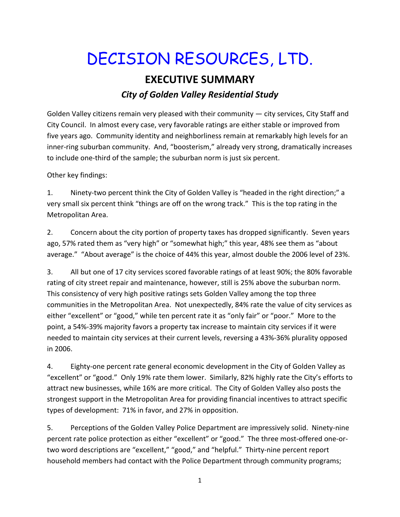## DECISION RESOURCES, LTD.

## **EXECUTIVE SUMMARY** *City of Golden Valley Residential Study*

Golden Valley citizens remain very pleased with their community — city services, City Staff and City Council. In almost every case, very favorable ratings are either stable or improved from five years ago. Community identity and neighborliness remain at remarkably high levels for an inner-ring suburban community. And, "boosterism," already very strong, dramatically increases to include one‐third of the sample; the suburban norm is just six percent.

Other key findings:

1. Ninety-two percent think the City of Golden Valley is "headed in the right direction;" a very small six percent think "things are off on the wrong track." This is the top rating in the Metropolitan Area.

2. Concern about the city portion of property taxes has dropped significantly. Seven years ago, 57% rated them as "very high" or "somewhat high;" this year, 48% see them as "about average." "About average" is the choice of 44% this year, almost double the 2006 level of 23%.

3. All but one of 17 city services scored favorable ratings of at least 90%; the 80% favorable rating of city street repair and maintenance, however, still is 25% above the suburban norm. This consistency of very high positive ratings sets Golden Valley among the top three communities in the Metropolitan Area. Not unexpectedly, 84% rate the value of city services as either "excellent" or "good," while ten percent rate it as "only fair" or "poor." More to the point, a 54%‐39% majority favors a property tax increase to maintain city services if it were needed to maintain city services at their current levels, reversing a 43%‐36% plurality opposed in 2006.

4. Eighty-one percent rate general economic development in the City of Golden Valley as "excellent" or "good." Only 19% rate them lower. Similarly, 82% highly rate the City's efforts to attract new businesses, while 16% are more critical. The City of Golden Valley also posts the strongest support in the Metropolitan Area for providing financial incentives to attract specific types of development: 71% in favor, and 27% in opposition.

5. Perceptions of the Golden Valley Police Department are impressively solid. Ninety-nine percent rate police protection as either "excellent" or "good." The three most-offered one-ortwo word descriptions are "excellent," "good," and "helpful." Thirty-nine percent report household members had contact with the Police Department through community programs;

1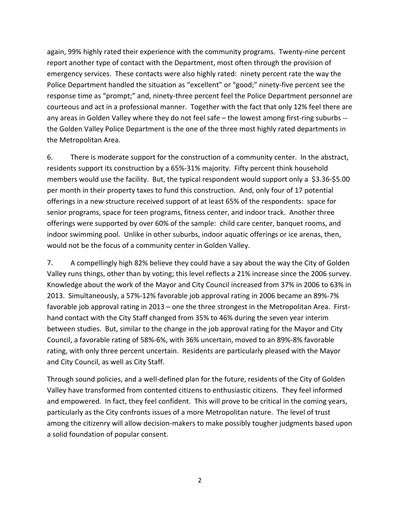again, 99% highly rated their experience with the community programs. Twenty‐nine percent report another type of contact with the Department, most often through the provision of emergency services. These contacts were also highly rated: ninety percent rate the way the Police Department handled the situation as "excellent" or "good;" ninety‐five percent see the response time as "prompt;" and, ninety‐three percent feel the Police Department personnel are courteous and act in a professional manner. Together with the fact that only 12% feel there are any areas in Golden Valley where they do not feel safe – the lowest among first-ring suburbs -the Golden Valley Police Department is the one of the three most highly rated departments in the Metropolitan Area.

6. There is moderate support for the construction of a community center. In the abstract, residents support its construction by a 65%‐31% majority. Fifty percent think household members would use the facility. But, the typical respondent would support only a \$3.36-\$5.00 per month in their property taxes to fund this construction. And, only four of 17 potential offerings in a new structure received support of at least 65% of the respondents: space for senior programs, space for teen programs, fitness center, and indoor track. Another three offerings were supported by over 60% of the sample: child care center, banquet rooms, and indoor swimming pool. Unlike in other suburbs, indoor aquatic offerings or ice arenas, then, would not be the focus of a community center in Golden Valley.

7. A compellingly high 82% believe they could have a say about the way the City of Golden Valley runs things, other than by voting; this level reflects a 21% increase since the 2006 survey. Knowledge about the work of the Mayor and City Council increased from 37% in 2006 to 63% in 2013. Simultaneously, a 57%‐12% favorable job approval rating in 2006 became an 89%‐7% favorable job approval rating in 2013 – one the three strongest in the Metropolitan Area. Firsthand contact with the City Staff changed from 35% to 46% during the seven year interim between studies. But, similar to the change in the job approval rating for the Mayor and City Council, a favorable rating of 58%‐6%, with 36% uncertain, moved to an 89%‐8% favorable rating, with only three percent uncertain. Residents are particularly pleased with the Mayor and City Council, as well as City Staff.

Through sound policies, and a well‐defined plan for the future, residents of the City of Golden Valley have transformed from contented citizens to enthusiastic citizens. They feel informed and empowered. In fact, they feel confident. This will prove to be critical in the coming years, particularly as the City confronts issues of a more Metropolitan nature. The level of trust among the citizenry will allow decision-makers to make possibly tougher judgments based upon a solid foundation of popular consent.